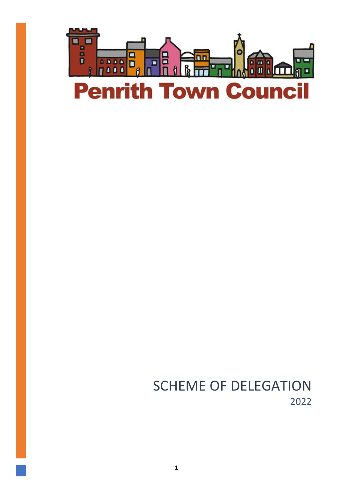

SCHEME OF DELEGATION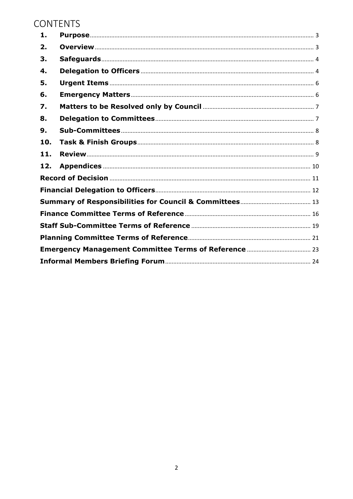# CONTENTS

| 1.  |  |  |
|-----|--|--|
| 2.  |  |  |
| 3.  |  |  |
| 4.  |  |  |
| 5.  |  |  |
| 6.  |  |  |
| 7.  |  |  |
| 8.  |  |  |
| 9.  |  |  |
| 10. |  |  |
| 11. |  |  |
| 12. |  |  |
|     |  |  |
|     |  |  |
|     |  |  |
|     |  |  |
|     |  |  |
|     |  |  |
|     |  |  |
|     |  |  |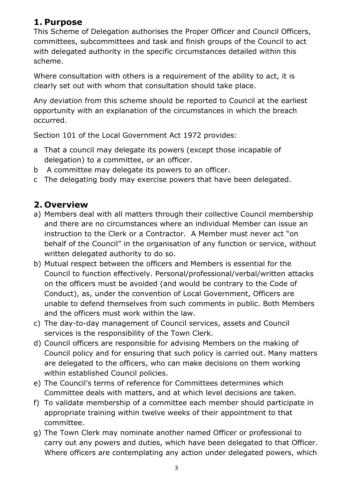# <span id="page-2-0"></span>**1. Purpose**

This Scheme of Delegation authorises the Proper Officer and Council Officers, committees, subcommittees and task and finish groups of the Council to act with delegated authority in the specific circumstances detailed within this scheme.

Where consultation with others is a requirement of the ability to act, it is clearly set out with whom that consultation should take place.

Any deviation from this scheme should be reported to Council at the earliest opportunity with an explanation of the circumstances in which the breach occurred.

Section 101 of the Local Government Act 1972 provides:

- a That a council may delegate its powers (except those incapable of delegation) to a committee, or an officer.
- b A committee may delegate its powers to an officer.
- c The delegating body may exercise powers that have been delegated.

# <span id="page-2-1"></span>**2. Overview**

- a) Members deal with all matters through their collective Council membership and there are no circumstances where an individual Member can issue an instruction to the Clerk or a Contractor. A Member must never act "on behalf of the Council" in the organisation of any function or service, without written delegated authority to do so.
- b) Mutual respect between the officers and Members is essential for the Council to function effectively. Personal/professional/verbal/written attacks on the officers must be avoided (and would be contrary to the Code of Conduct), as, under the convention of Local Government, Officers are unable to defend themselves from such comments in public. Both Members and the officers must work within the law.
- c) The day-to-day management of Council services, assets and Council services is the responsibility of the Town Clerk.
- d) Council officers are responsible for advising Members on the making of Council policy and for ensuring that such policy is carried out. Many matters are delegated to the officers, who can make decisions on them working within established Council policies.
- e) The Council's terms of reference for Committees determines which Committee deals with matters, and at which level decisions are taken.
- f) To validate membership of a committee each member should participate in appropriate training within twelve weeks of their appointment to that committee.
- g) The Town Clerk may nominate another named Officer or professional to carry out any powers and duties, which have been delegated to that Officer. Where officers are contemplating any action under delegated powers, which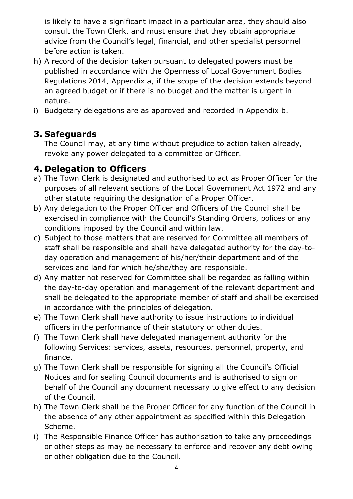is likely to have a significant impact in a particular area, they should also consult the Town Clerk, and must ensure that they obtain appropriate advice from the Council's legal, financial, and other specialist personnel before action is taken.

- h) A record of the decision taken pursuant to delegated powers must be published in accordance with the Openness of Local Government Bodies Regulations 2014, Appendix a, if the scope of the decision extends beyond an agreed budget or if there is no budget and the matter is urgent in nature.
- i) Budgetary delegations are as approved and recorded in Appendix b.

# <span id="page-3-0"></span>**3. Safeguards**

The Council may, at any time without prejudice to action taken already, revoke any power delegated to a committee or Officer.

# <span id="page-3-1"></span>**4. Delegation to Officers**

- a) The Town Clerk is designated and authorised to act as Proper Officer for the purposes of all relevant sections of the Local Government Act 1972 and any other statute requiring the designation of a Proper Officer.
- b) Any delegation to the Proper Officer and Officers of the Council shall be exercised in compliance with the Council's Standing Orders, polices or any conditions imposed by the Council and within law.
- c) Subject to those matters that are reserved for Committee all members of staff shall be responsible and shall have delegated authority for the day-today operation and management of his/her/their department and of the services and land for which he/she/they are responsible.
- d) Any matter not reserved for Committee shall be regarded as falling within the day-to-day operation and management of the relevant department and shall be delegated to the appropriate member of staff and shall be exercised in accordance with the principles of delegation.
- e) The Town Clerk shall have authority to issue instructions to individual officers in the performance of their statutory or other duties.
- f) The Town Clerk shall have delegated management authority for the following Services: services, assets, resources, personnel, property, and finance.
- g) The Town Clerk shall be responsible for signing all the Council's Official Notices and for sealing Council documents and is authorised to sign on behalf of the Council any document necessary to give effect to any decision of the Council.
- h) The Town Clerk shall be the Proper Officer for any function of the Council in the absence of any other appointment as specified within this Delegation Scheme.
- i) The Responsible Finance Officer has authorisation to take any proceedings or other steps as may be necessary to enforce and recover any debt owing or other obligation due to the Council.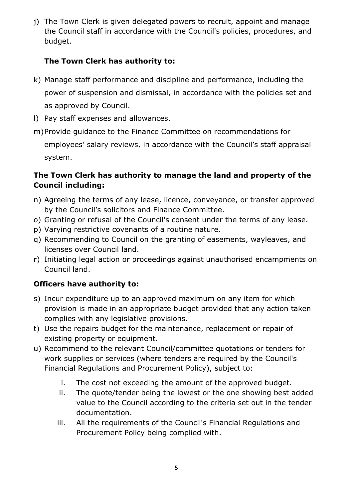j) The Town Clerk is given delegated powers to recruit, appoint and manage the Council staff in accordance with the Council's policies, procedures, and budget.

## **The Town Clerk has authority to:**

- k) Manage staff performance and discipline and performance, including the power of suspension and dismissal, in accordance with the policies set and as approved by Council.
- l) Pay staff expenses and allowances.
- m)Provide guidance to the Finance Committee on recommendations for employees' salary reviews, in accordance with the Council's staff appraisal system.

### **The Town Clerk has authority to manage the land and property of the Council including:**

- n) Agreeing the terms of any lease, licence, conveyance, or transfer approved by the Council's solicitors and Finance Committee.
- o) Granting or refusal of the Council's consent under the terms of any lease.
- p) Varying restrictive covenants of a routine nature.
- q) Recommending to Council on the granting of easements, wayleaves, and licenses over Council land.
- r) Initiating legal action or proceedings against unauthorised encampments on Council land.

## **Officers have authority to:**

- s) Incur expenditure up to an approved maximum on any item for which provision is made in an appropriate budget provided that any action taken complies with any legislative provisions.
- t) Use the repairs budget for the maintenance, replacement or repair of existing property or equipment.
- u) Recommend to the relevant Council/committee quotations or tenders for work supplies or services (where tenders are required by the Council's Financial Regulations and Procurement Policy), subject to:
	- i. The cost not exceeding the amount of the approved budget.
	- ii. The quote/tender being the lowest or the one showing best added value to the Council according to the criteria set out in the tender documentation.
	- iii. All the requirements of the Council's Financial Regulations and Procurement Policy being complied with.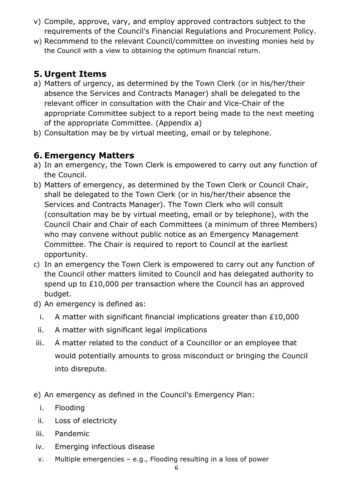- v) Compile, approve, vary, and employ approved contractors subject to the requirements of the Council's Financial Regulations and Procurement Policy.
- w) Recommend to the relevant Council/committee on investing monies held by the Council with a view to obtaining the optimum financial return.

# <span id="page-5-0"></span>**5. Urgent Items**

- a) Matters of urgency, as determined by the Town Clerk (or in his/her/their absence the Services and Contracts Manager) shall be delegated to the relevant officer in consultation with the Chair and Vice-Chair of the appropriate Committee subject to a report being made to the next meeting of the appropriate Committee. (Appendix a)
- b) Consultation may be by virtual meeting, email or by telephone.

# <span id="page-5-1"></span>**6. Emergency Matters**

- a) In an emergency, the Town Clerk is empowered to carry out any function of the Council.
- b) Matters of emergency, as determined by the Town Clerk or Council Chair, shall be delegated to the Town Clerk (or in his/her/their absence the Services and Contracts Manager). The Town Clerk who will consult (consultation may be by virtual meeting, email or by telephone), with the Council Chair and Chair of each Committees (a minimum of three Members) who may convene without public notice as an Emergency Management Committee. The Chair is required to report to Council at the earliest opportunity.
- c) In an emergency the Town Clerk is empowered to carry out any function of the Council other matters limited to Council and has delegated authority to spend up to £10,000 per transaction where the Council has an approved budget.
- d) An emergency is defined as:
	- i. A matter with significant financial implications greater than £10,000
	- ii. A matter with significant legal implications
- iii. A matter related to the conduct of a Councillor or an employee that would potentially amounts to gross misconduct or bringing the Council into disrepute.
- e) An emergency as defined in the Council's Emergency Plan:
	- i. Flooding
	- ii. Loss of electricity
- iii. Pandemic
- iv. Emerging infectious disease
- v. Multiple emergencies e.g., Flooding resulting in a loss of power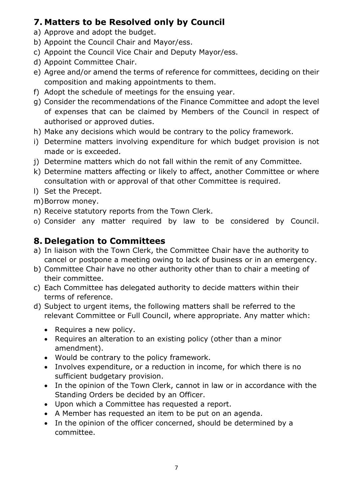# <span id="page-6-0"></span>**7. Matters to be Resolved only by Council**

- a) Approve and adopt the budget.
- b) Appoint the Council Chair and Mayor/ess.
- c) Appoint the Council Vice Chair and Deputy Mayor/ess.
- d) Appoint Committee Chair.
- e) Agree and/or amend the terms of reference for committees, deciding on their composition and making appointments to them.
- f) Adopt the schedule of meetings for the ensuing year.
- g) Consider the recommendations of the Finance Committee and adopt the level of expenses that can be claimed by Members of the Council in respect of authorised or approved duties.
- h) Make any decisions which would be contrary to the policy framework.
- i) Determine matters involving expenditure for which budget provision is not made or is exceeded.
- j) Determine matters which do not fall within the remit of any Committee.
- k) Determine matters affecting or likely to affect, another Committee or where consultation with or approval of that other Committee is required.
- l) Set the Precept.
- m)Borrow money.
- n) Receive statutory reports from the Town Clerk.
- o) Consider any matter required by law to be considered by Council.

# <span id="page-6-1"></span>**8. Delegation to Committees**

- a) In liaison with the Town Clerk, the Committee Chair have the authority to cancel or postpone a meeting owing to lack of business or in an emergency.
- b) Committee Chair have no other authority other than to chair a meeting of their committee.
- c) Each Committee has delegated authority to decide matters within their terms of reference.
- d) Subject to urgent items, the following matters shall be referred to the relevant Committee or Full Council, where appropriate. Any matter which:
	- Requires a new policy.
	- Requires an alteration to an existing policy (other than a minor amendment).
	- Would be contrary to the policy framework.
	- Involves expenditure, or a reduction in income, for which there is no sufficient budgetary provision.
	- In the opinion of the Town Clerk, cannot in law or in accordance with the Standing Orders be decided by an Officer.
	- Upon which a Committee has requested a report.
	- A Member has requested an item to be put on an agenda.
	- In the opinion of the officer concerned, should be determined by a committee.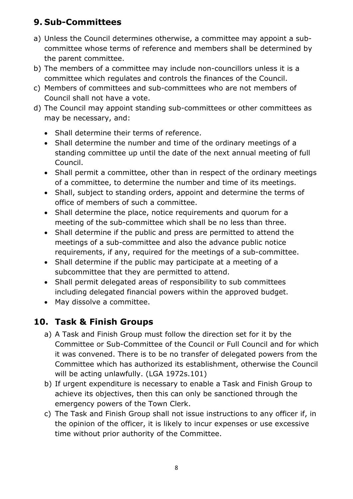# <span id="page-7-0"></span>**9. Sub-Committees**

- a) Unless the Council determines otherwise, a committee may appoint a subcommittee whose terms of reference and members shall be determined by the parent committee.
- b) The members of a committee may include non-councillors unless it is a committee which regulates and controls the finances of the Council.
- c) Members of committees and sub-committees who are not members of Council shall not have a vote.
- d) The Council may appoint standing sub-committees or other committees as may be necessary, and:
	- Shall determine their terms of reference.
	- Shall determine the number and time of the ordinary meetings of a standing committee up until the date of the next annual meeting of full Council.
	- Shall permit a committee, other than in respect of the ordinary meetings of a committee, to determine the number and time of its meetings.
	- Shall, subject to standing orders, appoint and determine the terms of office of members of such a committee.
	- Shall determine the place, notice requirements and quorum for a meeting of the sub-committee which shall be no less than three.
	- Shall determine if the public and press are permitted to attend the meetings of a sub-committee and also the advance public notice requirements, if any, required for the meetings of a sub-committee.
	- Shall determine if the public may participate at a meeting of a subcommittee that they are permitted to attend.
	- Shall permit delegated areas of responsibility to sub committees including delegated financial powers within the approved budget.
	- May dissolve a committee.

# <span id="page-7-1"></span>**10. Task & Finish Groups**

- a) A Task and Finish Group must follow the direction set for it by the Committee or Sub-Committee of the Council or Full Council and for which it was convened. There is to be no transfer of delegated powers from the Committee which has authorized its establishment, otherwise the Council will be acting unlawfully. (LGA 1972s.101)
- b) If urgent expenditure is necessary to enable a Task and Finish Group to achieve its objectives, then this can only be sanctioned through the emergency powers of the Town Clerk.
- c) The Task and Finish Group shall not issue instructions to any officer if, in the opinion of the officer, it is likely to incur expenses or use excessive time without prior authority of the Committee.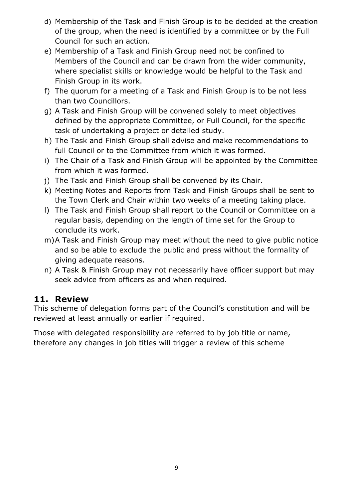- d) Membership of the Task and Finish Group is to be decided at the creation of the group, when the need is identified by a committee or by the Full Council for such an action.
- e) Membership of a Task and Finish Group need not be confined to Members of the Council and can be drawn from the wider community, where specialist skills or knowledge would be helpful to the Task and Finish Group in its work.
- f) The quorum for a meeting of a Task and Finish Group is to be not less than two Councillors.
- g) A Task and Finish Group will be convened solely to meet objectives defined by the appropriate Committee, or Full Council, for the specific task of undertaking a project or detailed study.
- h) The Task and Finish Group shall advise and make recommendations to full Council or to the Committee from which it was formed.
- i) The Chair of a Task and Finish Group will be appointed by the Committee from which it was formed.
- j) The Task and Finish Group shall be convened by its Chair.
- k) Meeting Notes and Reports from Task and Finish Groups shall be sent to the Town Clerk and Chair within two weeks of a meeting taking place.
- l) The Task and Finish Group shall report to the Council or Committee on a regular basis, depending on the length of time set for the Group to conclude its work.
- m)A Task and Finish Group may meet without the need to give public notice and so be able to exclude the public and press without the formality of giving adequate reasons.
- n) A Task & Finish Group may not necessarily have officer support but may seek advice from officers as and when required.

## <span id="page-8-0"></span>**11. Review**

This scheme of delegation forms part of the Council's constitution and will be reviewed at least annually or earlier if required.

Those with delegated responsibility are referred to by job title or name, therefore any changes in job titles will trigger a review of this scheme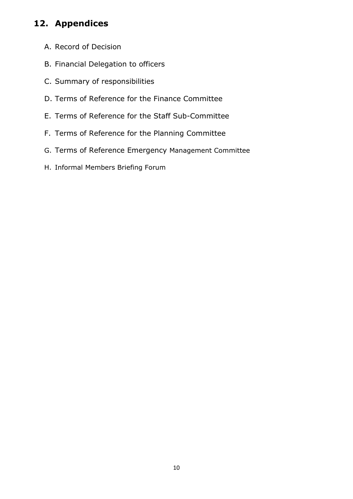# <span id="page-9-0"></span>**12. Appendices**

- A. Record of Decision
- B. Financial Delegation to officers
- C. Summary of responsibilities
- D. Terms of Reference for the Finance Committee
- E. Terms of Reference for the Staff Sub-Committee
- F. Terms of Reference for the Planning Committee
- G. Terms of Reference Emergency Management Committee
- H. Informal Members Briefing Forum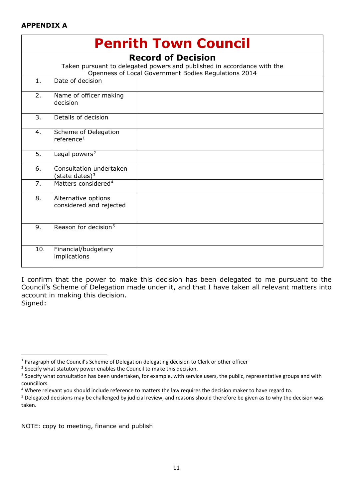#### **APPENDIX A**

<span id="page-10-0"></span>

| <b>Penrith Town Council</b>                                                                                                                                  |                                                |  |  |  |
|--------------------------------------------------------------------------------------------------------------------------------------------------------------|------------------------------------------------|--|--|--|
| <b>Record of Decision</b><br>Taken pursuant to delegated powers and published in accordance with the<br>Openness of Local Government Bodies Regulations 2014 |                                                |  |  |  |
| 1.                                                                                                                                                           | Date of decision                               |  |  |  |
| 2.                                                                                                                                                           | Name of officer making<br>decision             |  |  |  |
| 3.                                                                                                                                                           | Details of decision                            |  |  |  |
| 4.                                                                                                                                                           | Scheme of Delegation<br>reference <sup>1</sup> |  |  |  |
| 5.                                                                                                                                                           | Legal powers <sup>2</sup>                      |  |  |  |
| 6.                                                                                                                                                           | Consultation undertaken<br>(state dates) $3$   |  |  |  |
| 7.                                                                                                                                                           | Matters considered <sup>4</sup>                |  |  |  |
| 8.                                                                                                                                                           | Alternative options<br>considered and rejected |  |  |  |
| 9.                                                                                                                                                           | Reason for decision <sup>5</sup>               |  |  |  |
| 10.                                                                                                                                                          | Financial/budgetary<br>implications            |  |  |  |

I confirm that the power to make this decision has been delegated to me pursuant to the Council's Scheme of Delegation made under it, and that I have taken all relevant matters into account in making this decision. Signed:

NOTE: copy to meeting, finance and publish

**.** 

<span id="page-10-1"></span><sup>&</sup>lt;sup>1</sup> Paragraph of the Council's Scheme of Delegation delegating decision to Clerk or other officer

<span id="page-10-2"></span><sup>&</sup>lt;sup>2</sup> Specify what statutory power enables the Council to make this decision.

<span id="page-10-3"></span><sup>&</sup>lt;sup>3</sup> Specify what consultation has been undertaken, for example, with service users, the public, representative groups and with councillors.

<span id="page-10-4"></span><sup>4</sup> Where relevant you should include reference to matters the law requires the decision maker to have regard to.

<span id="page-10-5"></span><sup>&</sup>lt;sup>5</sup> Delegated decisions may be challenged by judicial review, and reasons should therefore be given as to why the decision was taken.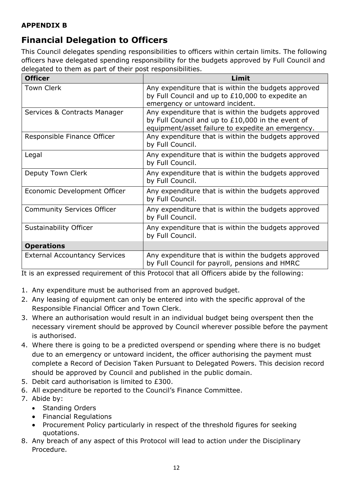#### **APPENDIX B**

# <span id="page-11-0"></span>**Financial Delegation to Officers**

This Council delegates spending responsibilities to officers within certain limits. The following officers have delegated spending responsibility for the budgets approved by Full Council and delegated to them as part of their post responsibilities.

| <b>Officer</b>                       | Limit                                                                                                                                                         |
|--------------------------------------|---------------------------------------------------------------------------------------------------------------------------------------------------------------|
| <b>Town Clerk</b>                    | Any expenditure that is within the budgets approved<br>by Full Council and up to £10,000 to expedite an<br>emergency or untoward incident.                    |
| Services & Contracts Manager         | Any expenditure that is within the budgets approved<br>by Full Council and up to £10,000 in the event of<br>equipment/asset failure to expedite an emergency. |
| Responsible Finance Officer          | Any expenditure that is within the budgets approved<br>by Full Council.                                                                                       |
| Legal                                | Any expenditure that is within the budgets approved<br>by Full Council.                                                                                       |
| Deputy Town Clerk                    | Any expenditure that is within the budgets approved<br>by Full Council.                                                                                       |
| Economic Development Officer         | Any expenditure that is within the budgets approved<br>by Full Council.                                                                                       |
| <b>Community Services Officer</b>    | Any expenditure that is within the budgets approved<br>by Full Council.                                                                                       |
| Sustainability Officer               | Any expenditure that is within the budgets approved<br>by Full Council.                                                                                       |
| <b>Operations</b>                    |                                                                                                                                                               |
| <b>External Accountancy Services</b> | Any expenditure that is within the budgets approved<br>by Full Council for payroll, pensions and HMRC                                                         |

It is an expressed requirement of this Protocol that all Officers abide by the following:

- 1. Any expenditure must be authorised from an approved budget.
- 2. Any leasing of equipment can only be entered into with the specific approval of the Responsible Financial Officer and Town Clerk.
- 3. Where an authorisation would result in an individual budget being overspent then the necessary virement should be approved by Council wherever possible before the payment is authorised.
- 4. Where there is going to be a predicted overspend or spending where there is no budget due to an emergency or untoward incident, the officer authorising the payment must complete a Record of Decision Taken Pursuant to Delegated Powers. This decision record should be approved by Council and published in the public domain.
- 5. Debit card authorisation is limited to £300.
- 6. All expenditure be reported to the Council's Finance Committee.
- 7. Abide by:
	- Standing Orders
	- Financial Regulations
	- Procurement Policy particularly in respect of the threshold figures for seeking quotations.
- 8. Any breach of any aspect of this Protocol will lead to action under the Disciplinary Procedure.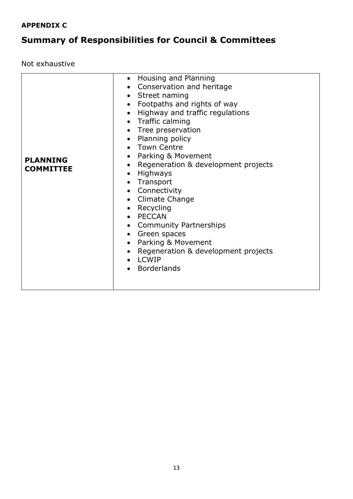### **APPENDIX C**

# <span id="page-12-0"></span>**Summary of Responsibilities for Council & Committees**

Not exhaustive

| <b>PLANNING</b><br><b>COMMITTEE</b> | Conservation and heritage<br>$\bullet$<br>• Street naming<br>Footpaths and rights of way<br>$\bullet$<br>Highway and traffic regulations<br>$\bullet$<br>• Traffic calming<br>• Tree preservation<br>• Planning policy<br>• Town Centre<br>Parking & Movement<br>$\bullet$<br>Regeneration & development projects<br>$\bullet$<br>Highways<br>$\bullet$<br>Transport<br>$\bullet$<br>• Connectivity<br>• Climate Change<br>• Recycling<br>• PECCAN<br>• Community Partnerships<br>Green spaces<br>$\bullet$<br>Parking & Movement<br>$\bullet$<br>Regeneration & development projects<br>$\bullet$<br><b>LCWIP</b><br><b>Borderlands</b> |
|-------------------------------------|------------------------------------------------------------------------------------------------------------------------------------------------------------------------------------------------------------------------------------------------------------------------------------------------------------------------------------------------------------------------------------------------------------------------------------------------------------------------------------------------------------------------------------------------------------------------------------------------------------------------------------------|
|                                     | • Housing and Planning                                                                                                                                                                                                                                                                                                                                                                                                                                                                                                                                                                                                                   |
|                                     |                                                                                                                                                                                                                                                                                                                                                                                                                                                                                                                                                                                                                                          |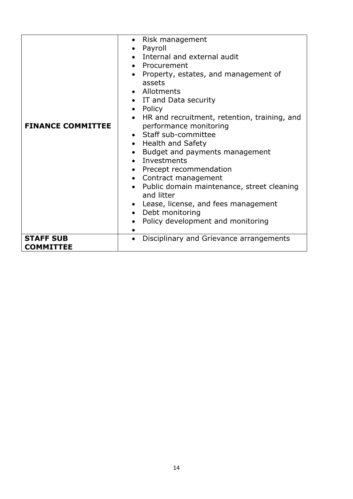| <b>FINANCE COMMITTEE</b>             | Risk management<br>Payroll<br>• Internal and external audit<br>• Procurement<br>Property, estates, and management of<br>assets<br>• Allotments<br>• IT and Data security<br>• Policy<br>HR and recruitment, retention, training, and<br>performance monitoring<br>• Staff sub-committee<br>• Health and Safety<br>Budget and payments management<br>$\bullet$<br>• Investments<br>• Precept recommendation<br>• Contract management<br>• Public domain maintenance, street cleaning<br>and litter<br>• Lease, license, and fees management<br>• Debt monitoring<br>Policy development and monitoring |
|--------------------------------------|------------------------------------------------------------------------------------------------------------------------------------------------------------------------------------------------------------------------------------------------------------------------------------------------------------------------------------------------------------------------------------------------------------------------------------------------------------------------------------------------------------------------------------------------------------------------------------------------------|
| <b>STAFF SUB</b><br><b>COMMITTEE</b> | Disciplinary and Grievance arrangements                                                                                                                                                                                                                                                                                                                                                                                                                                                                                                                                                              |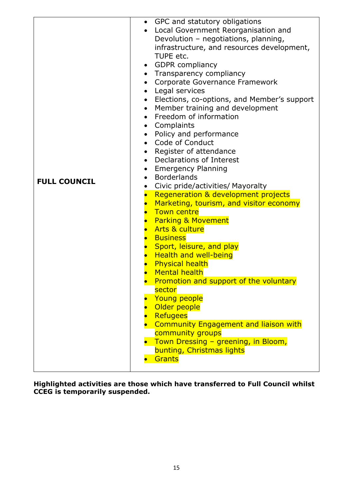|                     | GPC and statutory obligations<br>Local Government Reorganisation and |
|---------------------|----------------------------------------------------------------------|
|                     | Devolution - negotiations, planning,                                 |
|                     |                                                                      |
|                     | infrastructure, and resources development,<br>TUPE etc.              |
|                     |                                                                      |
|                     | <b>GDPR</b> compliancy                                               |
|                     | • Transparency compliancy<br>Corporate Governance Framework          |
|                     | $\bullet$<br>Legal services<br>$\bullet$                             |
|                     | Elections, co-options, and Member's support                          |
|                     | $\bullet$                                                            |
|                     | Member training and development<br>Freedom of information            |
|                     | Complaints<br>$\bullet$                                              |
|                     | Policy and performance<br>$\bullet$                                  |
|                     | Code of Conduct<br>$\bullet$                                         |
|                     | Register of attendance                                               |
|                     | Declarations of Interest<br>$\bullet$                                |
|                     | <b>Emergency Planning</b><br>$\bullet$                               |
|                     | <b>Borderlands</b>                                                   |
| <b>FULL COUNCIL</b> | Civic pride/activities/ Mayoralty<br>$\bullet$                       |
|                     | Regeneration & development projects                                  |
|                     | Marketing, tourism, and visitor economy                              |
|                     | <b>Town centre</b>                                                   |
|                     | <b>Parking &amp; Movement</b><br>$\bullet$                           |
|                     | • Arts & culture                                                     |
|                     | <b>Business</b><br>$\bullet$                                         |
|                     | Sport, leisure, and play                                             |
|                     | <b>Health and well-being</b>                                         |
|                     | <b>Physical health</b>                                               |
|                     | <b>Mental health</b>                                                 |
|                     | Promotion and support of the voluntary                               |
|                     | sector                                                               |
|                     | Young people                                                         |
|                     | Older people                                                         |
|                     | <b>Refugees</b>                                                      |
|                     | <b>Community Engagement and liaison with</b>                         |
|                     | community groups                                                     |
|                     | Town Dressing - greening, in Bloom,                                  |
|                     | bunting, Christmas lights                                            |
|                     | Grants                                                               |
|                     |                                                                      |

**Highlighted activities are those which have transferred to Full Council whilst CCEG is temporarily suspended.**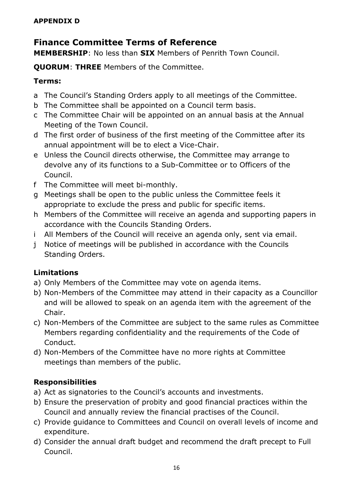## <span id="page-15-0"></span>**Finance Committee Terms of Reference**

**MEMBERSHIP**: No less than **SIX** Members of Penrith Town Council.

**QUORUM**: **THREE** Members of the Committee.

### **Terms:**

- a The Council's Standing Orders apply to all meetings of the Committee.
- b The Committee shall be appointed on a Council term basis.
- c The Committee Chair will be appointed on an annual basis at the Annual Meeting of the Town Council.
- d The first order of business of the first meeting of the Committee after its annual appointment will be to elect a Vice-Chair.
- e Unless the Council directs otherwise, the Committee may arrange to devolve any of its functions to a Sub-Committee or to Officers of the Council.
- f The Committee will meet bi-monthly.
- g Meetings shall be open to the public unless the Committee feels it appropriate to exclude the press and public for specific items.
- h Members of the Committee will receive an agenda and supporting papers in accordance with the Councils Standing Orders.
- i All Members of the Council will receive an agenda only, sent via email.
- j Notice of meetings will be published in accordance with the Councils Standing Orders.

## **Limitations**

- a) Only Members of the Committee may vote on agenda items.
- b) Non-Members of the Committee may attend in their capacity as a Councillor and will be allowed to speak on an agenda item with the agreement of the Chair.
- c) Non-Members of the Committee are subject to the same rules as Committee Members regarding confidentiality and the requirements of the Code of Conduct.
- d) Non-Members of the Committee have no more rights at Committee meetings than members of the public.

## **Responsibilities**

- a) Act as signatories to the Council's accounts and investments.
- b) Ensure the preservation of probity and good financial practices within the Council and annually review the financial practises of the Council.
- c) Provide guidance to Committees and Council on overall levels of income and expenditure.
- d) Consider the annual draft budget and recommend the draft precept to Full Council.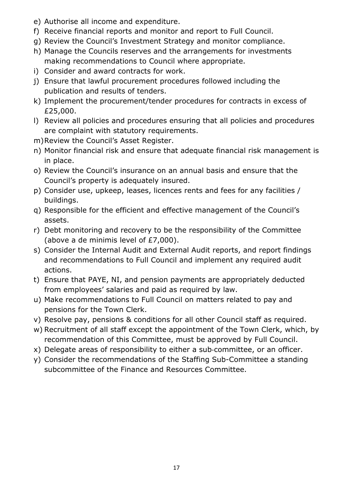- e) Authorise all income and expenditure.
- f) Receive financial reports and monitor and report to Full Council.
- g) Review the Council's Investment Strategy and monitor compliance.
- h) Manage the Councils reserves and the arrangements for investments making recommendations to Council where appropriate.
- i) Consider and award contracts for work.
- j) Ensure that lawful procurement procedures followed including the publication and results of tenders.
- k) Implement the procurement/tender procedures for contracts in excess of £25,000.
- l) Review all policies and procedures ensuring that all policies and procedures are complaint with statutory requirements.
- m)Review the Council's Asset Register.
- n) Monitor financial risk and ensure that adequate financial risk management is in place.
- o) Review the Council's insurance on an annual basis and ensure that the Council's property is adequately insured.
- p) Consider use, upkeep, leases, licences rents and fees for any facilities / buildings.
- q) Responsible for the efficient and effective management of the Council's assets.
- r) Debt monitoring and recovery to be the responsibility of the Committee (above a de minimis level of £7,000).
- s) Consider the Internal Audit and External Audit reports, and report findings and recommendations to Full Council and implement any required audit actions.
- t) Ensure that PAYE, NI, and pension payments are appropriately deducted from employees' salaries and paid as required by law.
- u) Make recommendations to Full Council on matters related to pay and pensions for the Town Clerk.
- v) Resolve pay, pensions & conditions for all other Council staff as required.
- w) Recruitment of all staff except the appointment of the Town Clerk, which, by recommendation of this Committee, must be approved by Full Council.
- x) Delegate areas of responsibility to either a sub‐committee, or an officer.
- y) Consider the recommendations of the Staffing Sub-Committee a standing subcommittee of the Finance and Resources Committee.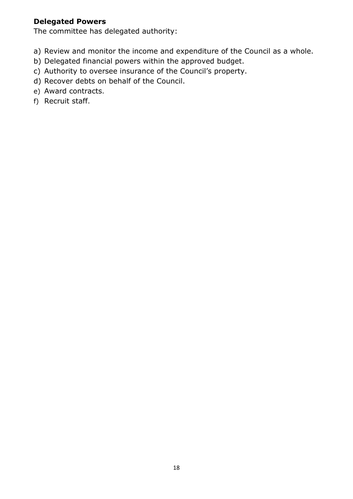#### **Delegated Powers**

The committee has delegated authority:

- a) Review and monitor the income and expenditure of the Council as a whole.
- b) Delegated financial powers within the approved budget.
- c) Authority to oversee insurance of the Council's property.
- d) Recover debts on behalf of the Council.
- e) Award contracts.
- f) Recruit staff.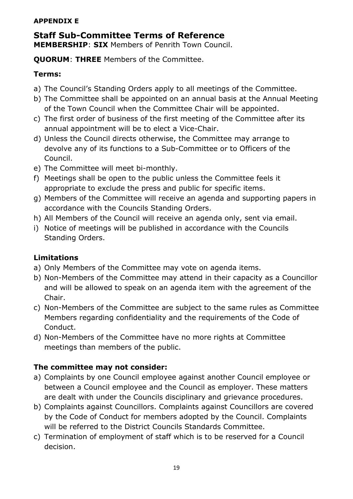#### **APPENDIX E**

#### <span id="page-18-0"></span>**Staff Sub-Committee Terms of Reference MEMBERSHIP**: **SIX** Members of Penrith Town Council.

**QUORUM**: **THREE** Members of the Committee.

### **Terms:**

- a) The Council's Standing Orders apply to all meetings of the Committee.
- b) The Committee shall be appointed on an annual basis at the Annual Meeting of the Town Council when the Committee Chair will be appointed.
- c) The first order of business of the first meeting of the Committee after its annual appointment will be to elect a Vice-Chair.
- d) Unless the Council directs otherwise, the Committee may arrange to devolve any of its functions to a Sub-Committee or to Officers of the Council.
- e) The Committee will meet bi-monthly.
- f) Meetings shall be open to the public unless the Committee feels it appropriate to exclude the press and public for specific items.
- g) Members of the Committee will receive an agenda and supporting papers in accordance with the Councils Standing Orders.
- h) All Members of the Council will receive an agenda only, sent via email.
- i) Notice of meetings will be published in accordance with the Councils Standing Orders.

### **Limitations**

- a) Only Members of the Committee may vote on agenda items.
- b) Non-Members of the Committee may attend in their capacity as a Councillor and will be allowed to speak on an agenda item with the agreement of the Chair.
- c) Non-Members of the Committee are subject to the same rules as Committee Members regarding confidentiality and the requirements of the Code of Conduct.
- d) Non-Members of the Committee have no more rights at Committee meetings than members of the public.

### **The committee may not consider:**

- a) Complaints by one Council employee against another Council employee or between a Council employee and the Council as employer. These matters are dealt with under the Councils disciplinary and grievance procedures.
- b) Complaints against Councillors. Complaints against Councillors are covered by the Code of Conduct for members adopted by the Council. Complaints will be referred to the District Councils Standards Committee.
- c) Termination of employment of staff which is to be reserved for a Council decision.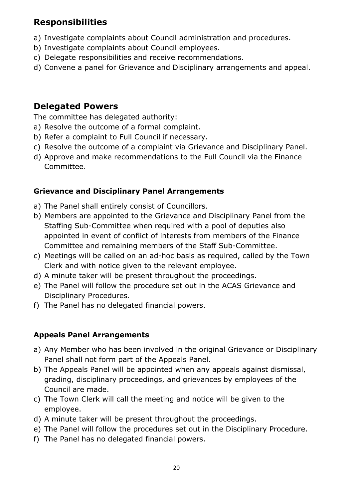## **Responsibilities**

- a) Investigate complaints about Council administration and procedures.
- b) Investigate complaints about Council employees.
- c) Delegate responsibilities and receive recommendations.
- d) Convene a panel for Grievance and Disciplinary arrangements and appeal.

### **Delegated Powers**

The committee has delegated authority:

- a) Resolve the outcome of a formal complaint.
- b) Refer a complaint to Full Council if necessary.
- c) Resolve the outcome of a complaint via Grievance and Disciplinary Panel.
- d) Approve and make recommendations to the Full Council via the Finance Committee.

### **Grievance and Disciplinary Panel Arrangements**

- a) The Panel shall entirely consist of Councillors.
- b) Members are appointed to the Grievance and Disciplinary Panel from the Staffing Sub-Committee when required with a pool of deputies also appointed in event of conflict of interests from members of the Finance Committee and remaining members of the Staff Sub-Committee.
- c) Meetings will be called on an ad-hoc basis as required, called by the Town Clerk and with notice given to the relevant employee.
- d) A minute taker will be present throughout the proceedings.
- e) The Panel will follow the procedure set out in the ACAS Grievance and Disciplinary Procedures.
- f) The Panel has no delegated financial powers.

### **Appeals Panel Arrangements**

- a) Any Member who has been involved in the original Grievance or Disciplinary Panel shall not form part of the Appeals Panel.
- b) The Appeals Panel will be appointed when any appeals against dismissal, grading, disciplinary proceedings, and grievances by employees of the Council are made.
- c) The Town Clerk will call the meeting and notice will be given to the employee.
- d) A minute taker will be present throughout the proceedings.
- e) The Panel will follow the procedures set out in the Disciplinary Procedure.
- f) The Panel has no delegated financial powers.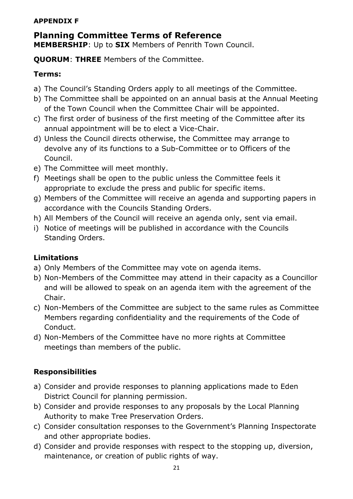#### **APPENDIX F**

#### <span id="page-20-0"></span>**Planning Committee Terms of Reference MEMBERSHIP**: Up to **SIX** Members of Penrith Town Council.

**QUORUM**: **THREE** Members of the Committee.

### **Terms:**

- a) The Council's Standing Orders apply to all meetings of the Committee.
- b) The Committee shall be appointed on an annual basis at the Annual Meeting of the Town Council when the Committee Chair will be appointed.
- c) The first order of business of the first meeting of the Committee after its annual appointment will be to elect a Vice-Chair.
- d) Unless the Council directs otherwise, the Committee may arrange to devolve any of its functions to a Sub-Committee or to Officers of the Council.
- e) The Committee will meet monthly.
- f) Meetings shall be open to the public unless the Committee feels it appropriate to exclude the press and public for specific items.
- g) Members of the Committee will receive an agenda and supporting papers in accordance with the Councils Standing Orders.
- h) All Members of the Council will receive an agenda only, sent via email.
- i) Notice of meetings will be published in accordance with the Councils Standing Orders.

### **Limitations**

- a) Only Members of the Committee may vote on agenda items.
- b) Non-Members of the Committee may attend in their capacity as a Councillor and will be allowed to speak on an agenda item with the agreement of the Chair.
- c) Non-Members of the Committee are subject to the same rules as Committee Members regarding confidentiality and the requirements of the Code of Conduct.
- d) Non-Members of the Committee have no more rights at Committee meetings than members of the public.

## **Responsibilities**

- a) Consider and provide responses to planning applications made to Eden District Council for planning permission.
- b) Consider and provide responses to any proposals by the Local Planning Authority to make Tree Preservation Orders.
- c) Consider consultation responses to the Government's Planning Inspectorate and other appropriate bodies.
- d) Consider and provide responses with respect to the stopping up, diversion, maintenance, or creation of public rights of way.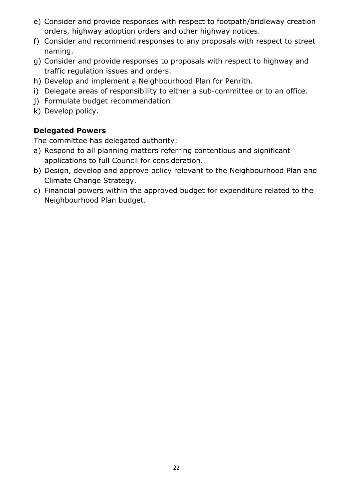- e) Consider and provide responses with respect to footpath/bridleway creation orders, highway adoption orders and other highway notices.
- f) Consider and recommend responses to any proposals with respect to street naming.
- g) Consider and provide responses to proposals with respect to highway and traffic regulation issues and orders.
- h) Develop and implement a Neighbourhood Plan for Penrith.
- i) Delegate areas of responsibility to either a sub-committee or to an office.
- j) Formulate budget recommendation
- k) Develop policy.

### **Delegated Powers**

The committee has delegated authority:

- a) Respond to all planning matters referring contentious and significant applications to full Council for consideration.
- b) Design, develop and approve policy relevant to the Neighbourhood Plan and Climate Change Strategy.
- c) Financial powers within the approved budget for expenditure related to the Neighbourhood Plan budget.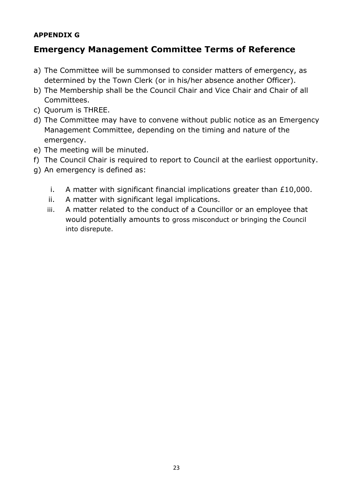#### **APPENDIX G**

## <span id="page-22-0"></span>**Emergency Management Committee Terms of Reference**

- a) The Committee will be summonsed to consider matters of emergency, as determined by the Town Clerk (or in his/her absence another Officer).
- b) The Membership shall be the Council Chair and Vice Chair and Chair of all Committees.
- c) Quorum is THREE.
- d) The Committee may have to convene without public notice as an Emergency Management Committee, depending on the timing and nature of the emergency.
- e) The meeting will be minuted.
- f) The Council Chair is required to report to Council at the earliest opportunity.
- g) An emergency is defined as:
	- i. A matter with significant financial implications greater than £10,000.
	- ii. A matter with significant legal implications.
	- iii. A matter related to the conduct of a Councillor or an employee that would potentially amounts to gross misconduct or bringing the Council into disrepute.